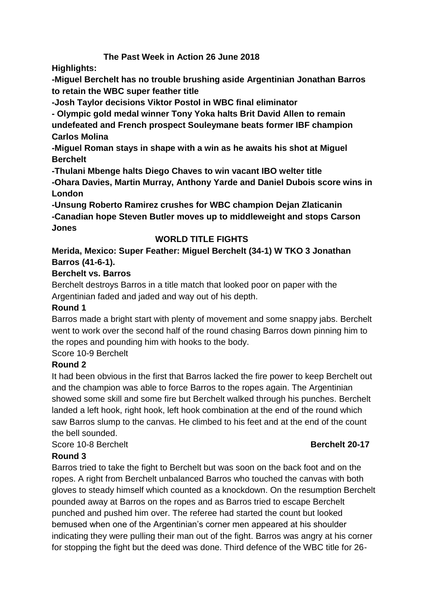# **The Past Week in Action 26 June 2018**

**Highlights:**

**-Miguel Berchelt has no trouble brushing aside Argentinian Jonathan Barros to retain the WBC super feather title**

**-Josh Taylor decisions Viktor Postol in WBC final eliminator**

**- Olympic gold medal winner Tony Yoka halts Brit David Allen to remain undefeated and French prospect Souleymane beats former IBF champion Carlos Molina**

**-Miguel Roman stays in shape with a win as he awaits his shot at Miguel Berchelt**

**-Thulani Mbenge halts Diego Chaves to win vacant IBO welter title**

**-Ohara Davies, Martin Murray, Anthony Yarde and Daniel Dubois score wins in London**

**-Unsung Roberto Ramirez crushes for WBC champion Dejan Zlaticanin -Canadian hope Steven Butler moves up to middleweight and stops Carson Jones**

# **WORLD TITLE FIGHTS**

# **Merida, Mexico: Super Feather: Miguel Berchelt (34-1) W TKO 3 Jonathan Barros (41-6-1).**

# **Berchelt vs. Barros**

Berchelt destroys Barros in a title match that looked poor on paper with the Argentinian faded and jaded and way out of his depth.

# **Round 1**

Barros made a bright start with plenty of movement and some snappy jabs. Berchelt went to work over the second half of the round chasing Barros down pinning him to the ropes and pounding him with hooks to the body.

Score 10-9 Berchelt

# **Round 2**

It had been obvious in the first that Barros lacked the fire power to keep Berchelt out and the champion was able to force Barros to the ropes again. The Argentinian showed some skill and some fire but Berchelt walked through his punches. Berchelt landed a left hook, right hook, left hook combination at the end of the round which saw Barros slump to the canvas. He climbed to his feet and at the end of the count the bell sounded.

Score 10-8 Berchelt **Berchelt** 20-17

# **Round 3**

Barros tried to take the fight to Berchelt but was soon on the back foot and on the ropes. A right from Berchelt unbalanced Barros who touched the canvas with both gloves to steady himself which counted as a knockdown. On the resumption Berchelt pounded away at Barros on the ropes and as Barros tried to escape Berchelt punched and pushed him over. The referee had started the count but looked bemused when one of the Argentinian's corner men appeared at his shoulder indicating they were pulling their man out of the fight. Barros was angry at his corner for stopping the fight but the deed was done. Third defence of the WBC title for 26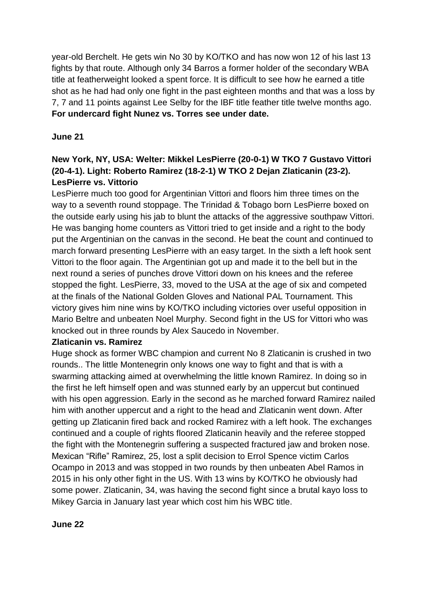year-old Berchelt. He gets win No 30 by KO/TKO and has now won 12 of his last 13 fights by that route. Although only 34 Barros a former holder of the secondary WBA title at featherweight looked a spent force. It is difficult to see how he earned a title shot as he had had only one fight in the past eighteen months and that was a loss by 7, 7 and 11 points against Lee Selby for the IBF title feather title twelve months ago. **For undercard fight Nunez vs. Torres see under date.**

#### **June 21**

# **New York, NY, USA: Welter: Mikkel LesPierre (20-0-1) W TKO 7 Gustavo Vittori (20-4-1). Light: Roberto Ramirez (18-2-1) W TKO 2 Dejan Zlaticanin (23-2). LesPierre vs. Vittorio**

LesPierre much too good for Argentinian Vittori and floors him three times on the way to a seventh round stoppage. The Trinidad & Tobago born LesPierre boxed on the outside early using his jab to blunt the attacks of the aggressive southpaw Vittori. He was banging home counters as Vittori tried to get inside and a right to the body put the Argentinian on the canvas in the second. He beat the count and continued to march forward presenting LesPierre with an easy target. In the sixth a left hook sent Vittori to the floor again. The Argentinian got up and made it to the bell but in the next round a series of punches drove Vittori down on his knees and the referee stopped the fight. LesPierre, 33, moved to the USA at the age of six and competed at the finals of the National Golden Gloves and National PAL Tournament. This victory gives him nine wins by KO/TKO including victories over useful opposition in Mario Beltre and unbeaten Noel Murphy. Second fight in the US for Vittori who was knocked out in three rounds by Alex Saucedo in November.

#### **Zlaticanin vs. Ramirez**

Huge shock as former WBC champion and current No 8 Zlaticanin is crushed in two rounds.. The little Montenegrin only knows one way to fight and that is with a swarming attacking aimed at overwhelming the little known Ramirez. In doing so in the first he left himself open and was stunned early by an uppercut but continued with his open aggression. Early in the second as he marched forward Ramirez nailed him with another uppercut and a right to the head and Zlaticanin went down. After getting up Zlaticanin fired back and rocked Ramirez with a left hook. The exchanges continued and a couple of rights floored Zlaticanin heavily and the referee stopped the fight with the Montenegrin suffering a suspected fractured jaw and broken nose. Mexican "Rifle" Ramirez, 25, lost a split decision to Errol Spence victim Carlos Ocampo in 2013 and was stopped in two rounds by then unbeaten Abel Ramos in 2015 in his only other fight in the US. With 13 wins by KO/TKO he obviously had some power. Zlaticanin, 34, was having the second fight since a brutal kayo loss to Mikey Garcia in January last year which cost him his WBC title.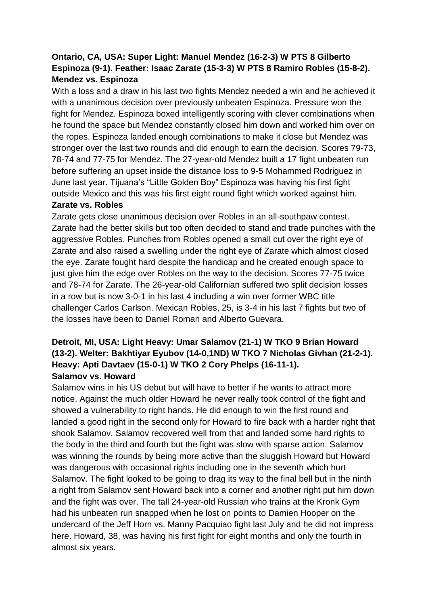# **Ontario, CA, USA: Super Light: Manuel Mendez (16-2-3) W PTS 8 Gilberto Espinoza (9-1). Feather: Isaac Zarate (15-3-3) W PTS 8 Ramiro Robles (15-8-2). Mendez vs. Espinoza**

With a loss and a draw in his last two fights Mendez needed a win and he achieved it with a unanimous decision over previously unbeaten Espinoza. Pressure won the fight for Mendez. Espinoza boxed intelligently scoring with clever combinations when he found the space but Mendez constantly closed him down and worked him over on the ropes. Espinoza landed enough combinations to make it close but Mendez was stronger over the last two rounds and did enough to earn the decision. Scores 79-73, 78-74 and 77-75 for Mendez. The 27-year-old Mendez built a 17 fight unbeaten run before suffering an upset inside the distance loss to 9-5 Mohammed Rodriguez in June last year. Tijuana's "Little Golden Boy" Espinoza was having his first fight outside Mexico and this was his first eight round fight which worked against him.

#### **Zarate vs. Robles**

Zarate gets close unanimous decision over Robles in an all-southpaw contest. Zarate had the better skills but too often decided to stand and trade punches with the aggressive Robles. Punches from Robles opened a small cut over the right eye of Zarate and also raised a swelling under the right eye of Zarate which almost closed the eye. Zarate fought hard despite the handicap and he created enough space to just give him the edge over Robles on the way to the decision. Scores 77-75 twice and 78-74 for Zarate. The 26-year-old Californian suffered two split decision losses in a row but is now 3-0-1 in his last 4 including a win over former WBC title challenger Carlos Carlson. Mexican Robles, 25, is 3-4 in his last 7 fights but two of the losses have been to Daniel Roman and Alberto Guevara.

# **Detroit, MI, USA: Light Heavy: Umar Salamov (21-1) W TKO 9 Brian Howard (13-2). Welter: Bakhtiyar Eyubov (14-0,1ND) W TKO 7 Nicholas Givhan (21-2-1). Heavy: Apti Davtaev (15-0-1) W TKO 2 Cory Phelps (16-11-1). Salamov vs. Howard**

Salamov wins in his US debut but will have to better if he wants to attract more notice. Against the much older Howard he never really took control of the fight and showed a vulnerability to right hands. He did enough to win the first round and landed a good right in the second only for Howard to fire back with a harder right that shook Salamov. Salamov recovered well from that and landed some hard rights to the body in the third and fourth but the fight was slow with sparse action. Salamov was winning the rounds by being more active than the sluggish Howard but Howard was dangerous with occasional rights including one in the seventh which hurt Salamov. The fight looked to be going to drag its way to the final bell but in the ninth a right from Salamov sent Howard back into a corner and another right put him down and the fight was over. The tall 24-year-old Russian who trains at the Kronk Gym had his unbeaten run snapped when he lost on points to Damien Hooper on the undercard of the Jeff Horn vs. Manny Pacquiao fight last July and he did not impress here. Howard, 38, was having his first fight for eight months and only the fourth in almost six years.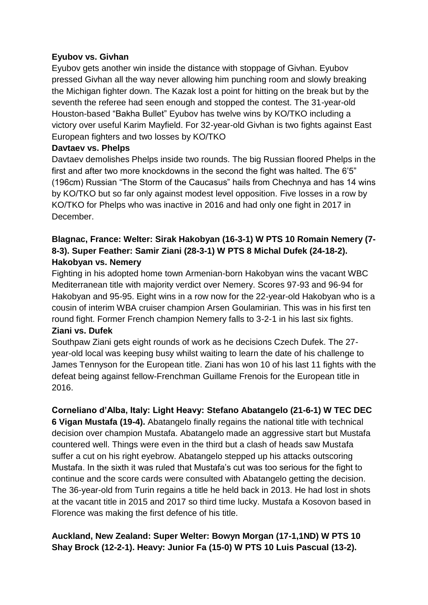### **Eyubov vs. Givhan**

Eyubov gets another win inside the distance with stoppage of Givhan. Eyubov pressed Givhan all the way never allowing him punching room and slowly breaking the Michigan fighter down. The Kazak lost a point for hitting on the break but by the seventh the referee had seen enough and stopped the contest. The 31-year-old Houston-based "Bakha Bullet" Eyubov has twelve wins by KO/TKO including a victory over useful Karim Mayfield. For 32-year-old Givhan is two fights against East European fighters and two losses by KO/TKO

# **Davtaev vs. Phelps**

Davtaev demolishes Phelps inside two rounds. The big Russian floored Phelps in the first and after two more knockdowns in the second the fight was halted. The 6'5" (196cm) Russian "The Storm of the Caucasus" hails from Chechnya and has 14 wins by KO/TKO but so far only against modest level opposition. Five losses in a row by KO/TKO for Phelps who was inactive in 2016 and had only one fight in 2017 in December.

# **Blagnac, France: Welter: Sirak Hakobyan (16-3-1) W PTS 10 Romain Nemery (7- 8-3). Super Feather: Samir Ziani (28-3-1) W PTS 8 Michal Dufek (24-18-2). Hakobyan vs. Nemery**

Fighting in his adopted home town Armenian-born Hakobyan wins the vacant WBC Mediterranean title with majority verdict over Nemery. Scores 97-93 and 96-94 for Hakobyan and 95-95. Eight wins in a row now for the 22-year-old Hakobyan who is a cousin of interim WBA cruiser champion Arsen Goulamirian. This was in his first ten round fight. Former French champion Nemery falls to 3-2-1 in his last six fights. **Ziani vs. Dufek**

# Southpaw Ziani gets eight rounds of work as he decisions Czech Dufek. The 27 year-old local was keeping busy whilst waiting to learn the date of his challenge to James Tennyson for the European title. Ziani has won 10 of his last 11 fights with the defeat being against fellow-Frenchman Guillame Frenois for the European title in 2016.

# **Corneliano d'Alba, Italy: Light Heavy: Stefano Abatangelo (21-6-1) W TEC DEC 6 Vigan Mustafa (19-4).** Abatangelo finally regains the national title with technical decision over champion Mustafa. Abatangelo made an aggressive start but Mustafa countered well. Things were even in the third but a clash of heads saw Mustafa suffer a cut on his right eyebrow. Abatangelo stepped up his attacks outscoring Mustafa. In the sixth it was ruled that Mustafa's cut was too serious for the fight to continue and the score cards were consulted with Abatangelo getting the decision. The 36-year-old from Turin regains a title he held back in 2013. He had lost in shots at the vacant title in 2015 and 2017 so third time lucky. Mustafa a Kosovon based in Florence was making the first defence of his title.

# **Auckland, New Zealand: Super Welter: Bowyn Morgan (17-1,1ND) W PTS 10 Shay Brock (12-2-1). Heavy: Junior Fa (15-0) W PTS 10 Luis Pascual (13-2).**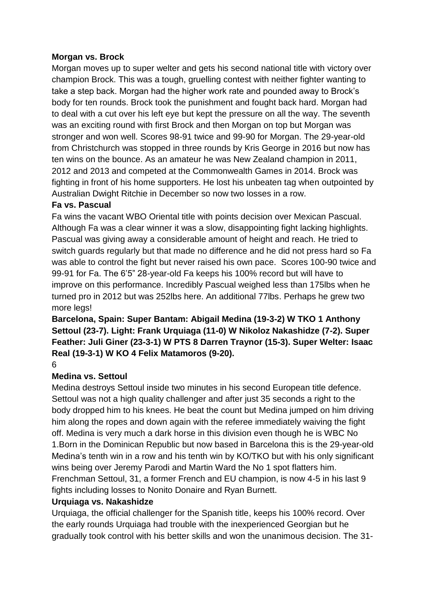#### **Morgan vs. Brock**

Morgan moves up to super welter and gets his second national title with victory over champion Brock. This was a tough, gruelling contest with neither fighter wanting to take a step back. Morgan had the higher work rate and pounded away to Brock's body for ten rounds. Brock took the punishment and fought back hard. Morgan had to deal with a cut over his left eye but kept the pressure on all the way. The seventh was an exciting round with first Brock and then Morgan on top but Morgan was stronger and won well. Scores 98-91 twice and 99-90 for Morgan. The 29-year-old from Christchurch was stopped in three rounds by Kris George in 2016 but now has ten wins on the bounce. As an amateur he was New Zealand champion in 2011, 2012 and 2013 and competed at the Commonwealth Games in 2014. Brock was fighting in front of his home supporters. He lost his unbeaten tag when outpointed by Australian Dwight Ritchie in December so now two losses in a row.

# **Fa vs. Pascual**

Fa wins the vacant WBO Oriental title with points decision over Mexican Pascual. Although Fa was a clear winner it was a slow, disappointing fight lacking highlights. Pascual was giving away a considerable amount of height and reach. He tried to switch guards regularly but that made no difference and he did not press hard so Fa was able to control the fight but never raised his own pace. Scores 100-90 twice and 99-91 for Fa. The 6'5" 28-year-old Fa keeps his 100% record but will have to improve on this performance. Incredibly Pascual weighed less than 175lbs when he turned pro in 2012 but was 252lbs here. An additional 77lbs. Perhaps he grew two more legs!

# **Barcelona, Spain: Super Bantam: Abigail Medina (19-3-2) W TKO 1 Anthony Settoul (23-7). Light: Frank Urquiaga (11-0) W Nikoloz Nakashidze (7-2). Super Feather: Juli Giner (23-3-1) W PTS 8 Darren Traynor (15-3). Super Welter: Isaac Real (19-3-1) W KO 4 Felix Matamoros (9-20).**

# 6

# **Medina vs. Settoul**

Medina destroys Settoul inside two minutes in his second European title defence. Settoul was not a high quality challenger and after just 35 seconds a right to the body dropped him to his knees. He beat the count but Medina jumped on him driving him along the ropes and down again with the referee immediately waiving the fight off. Medina is very much a dark horse in this division even though he is WBC No 1.Born in the Dominican Republic but now based in Barcelona this is the 29-year-old Medina's tenth win in a row and his tenth win by KO/TKO but with his only significant wins being over Jeremy Parodi and Martin Ward the No 1 spot flatters him. Frenchman Settoul, 31, a former French and EU champion, is now 4-5 in his last 9 fights including losses to Nonito Donaire and Ryan Burnett.

#### **Urquiaga vs. Nakashidze**

Urquiaga, the official challenger for the Spanish title, keeps his 100% record. Over the early rounds Urquiaga had trouble with the inexperienced Georgian but he gradually took control with his better skills and won the unanimous decision. The 31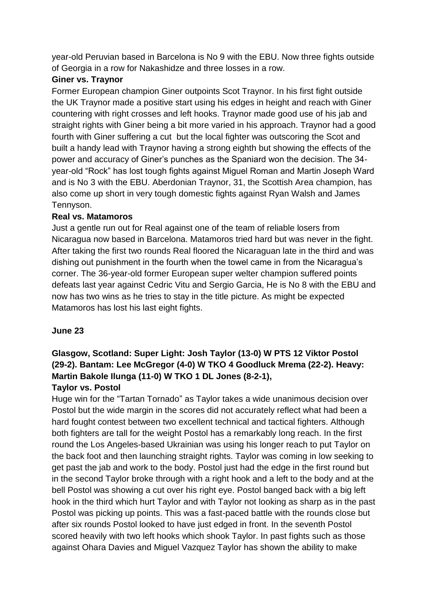year-old Peruvian based in Barcelona is No 9 with the EBU. Now three fights outside of Georgia in a row for Nakashidze and three losses in a row.

# **Giner vs. Traynor**

Former European champion Giner outpoints Scot Traynor. In his first fight outside the UK Traynor made a positive start using his edges in height and reach with Giner countering with right crosses and left hooks. Traynor made good use of his jab and straight rights with Giner being a bit more varied in his approach. Traynor had a good fourth with Giner suffering a cut but the local fighter was outscoring the Scot and built a handy lead with Traynor having a strong eighth but showing the effects of the power and accuracy of Giner's punches as the Spaniard won the decision. The 34 year-old "Rock" has lost tough fights against Miguel Roman and Martin Joseph Ward and is No 3 with the EBU. Aberdonian Traynor, 31, the Scottish Area champion, has also come up short in very tough domestic fights against Ryan Walsh and James Tennyson.

#### **Real vs. Matamoros**

Just a gentle run out for Real against one of the team of reliable losers from Nicaragua now based in Barcelona. Matamoros tried hard but was never in the fight. After taking the first two rounds Real floored the Nicaraguan late in the third and was dishing out punishment in the fourth when the towel came in from the Nicaragua's corner. The 36-year-old former European super welter champion suffered points defeats last year against Cedric Vitu and Sergio Garcia, He is No 8 with the EBU and now has two wins as he tries to stay in the title picture. As might be expected Matamoros has lost his last eight fights.

#### **June 23**

# **Glasgow, Scotland: Super Light: Josh Taylor (13-0) W PTS 12 Viktor Postol (29-2). Bantam: Lee McGregor (4-0) W TKO 4 Goodluck Mrema (22-2). Heavy: Martin Bakole Ilunga (11-0) W TKO 1 DL Jones (8-2-1), Taylor vs. Postol**

Huge win for the "Tartan Tornado" as Taylor takes a wide unanimous decision over Postol but the wide margin in the scores did not accurately reflect what had been a hard fought contest between two excellent technical and tactical fighters. Although both fighters are tall for the weight Postol has a remarkably long reach. In the first round the Los Angeles-based Ukrainian was using his longer reach to put Taylor on the back foot and then launching straight rights. Taylor was coming in low seeking to get past the jab and work to the body. Postol just had the edge in the first round but in the second Taylor broke through with a right hook and a left to the body and at the bell Postol was showing a cut over his right eye. Postol banged back with a big left hook in the third which hurt Taylor and with Taylor not looking as sharp as in the past Postol was picking up points. This was a fast-paced battle with the rounds close but after six rounds Postol looked to have just edged in front. In the seventh Postol scored heavily with two left hooks which shook Taylor. In past fights such as those against Ohara Davies and Miguel Vazquez Taylor has shown the ability to make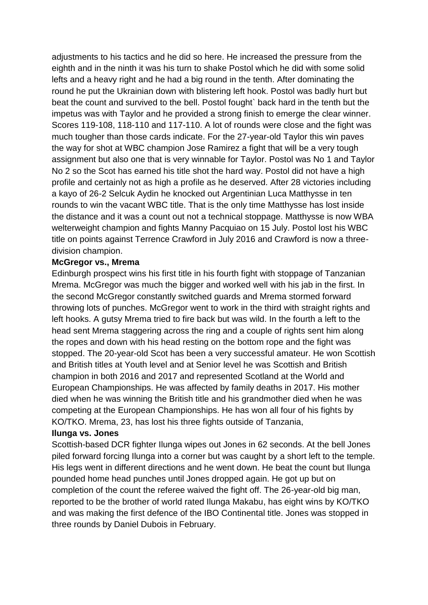adjustments to his tactics and he did so here. He increased the pressure from the eighth and in the ninth it was his turn to shake Postol which he did with some solid lefts and a heavy right and he had a big round in the tenth. After dominating the round he put the Ukrainian down with blistering left hook. Postol was badly hurt but beat the count and survived to the bell. Postol fought` back hard in the tenth but the impetus was with Taylor and he provided a strong finish to emerge the clear winner. Scores 119-108, 118-110 and 117-110. A lot of rounds were close and the fight was much tougher than those cards indicate. For the 27-year-old Taylor this win paves the way for shot at WBC champion Jose Ramirez a fight that will be a very tough assignment but also one that is very winnable for Taylor. Postol was No 1 and Taylor No 2 so the Scot has earned his title shot the hard way. Postol did not have a high profile and certainly not as high a profile as he deserved. After 28 victories including a kayo of 26-2 Selcuk Aydin he knocked out Argentinian Luca Matthysse in ten rounds to win the vacant WBC title. That is the only time Matthysse has lost inside the distance and it was a count out not a technical stoppage. Matthysse is now WBA welterweight champion and fights Manny Pacquiao on 15 July. Postol lost his WBC title on points against Terrence Crawford in July 2016 and Crawford is now a threedivision champion.

#### **McGregor vs., Mrema**

Edinburgh prospect wins his first title in his fourth fight with stoppage of Tanzanian Mrema. McGregor was much the bigger and worked well with his jab in the first. In the second McGregor constantly switched guards and Mrema stormed forward throwing lots of punches. McGregor went to work in the third with straight rights and left hooks. A gutsy Mrema tried to fire back but was wild. In the fourth a left to the head sent Mrema staggering across the ring and a couple of rights sent him along the ropes and down with his head resting on the bottom rope and the fight was stopped. The 20-year-old Scot has been a very successful amateur. He won Scottish and British titles at Youth level and at Senior level he was Scottish and British champion in both 2016 and 2017 and represented Scotland at the World and European Championships. He was affected by family deaths in 2017. His mother died when he was winning the British title and his grandmother died when he was competing at the European Championships. He has won all four of his fights by KO/TKO. Mrema, 23, has lost his three fights outside of Tanzania,

#### **Ilunga vs. Jones**

Scottish-based DCR fighter Ilunga wipes out Jones in 62 seconds. At the bell Jones piled forward forcing Ilunga into a corner but was caught by a short left to the temple. His legs went in different directions and he went down. He beat the count but Ilunga pounded home head punches until Jones dropped again. He got up but on completion of the count the referee waived the fight off. The 26-year-old big man, reported to be the brother of world rated Ilunga Makabu, has eight wins by KO/TKO and was making the first defence of the IBO Continental title. Jones was stopped in three rounds by Daniel Dubois in February.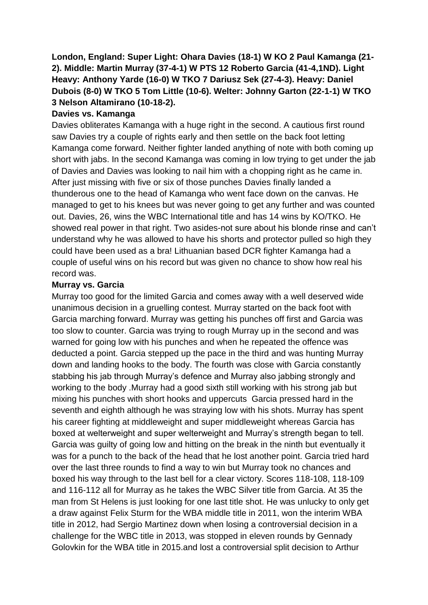# **London, England: Super Light: Ohara Davies (18-1) W KO 2 Paul Kamanga (21- 2). Middle: Martin Murray (37-4-1) W PTS 12 Roberto Garcia (41-4,1ND). Light Heavy: Anthony Yarde (16-0) W TKO 7 Dariusz Sek (27-4-3). Heavy: Daniel Dubois (8-0) W TKO 5 Tom Little (10-6). Welter: Johnny Garton (22-1-1) W TKO 3 Nelson Altamirano (10-18-2).**

#### **Davies vs. Kamanga**

Davies obliterates Kamanga with a huge right in the second. A cautious first round saw Davies try a couple of rights early and then settle on the back foot letting Kamanga come forward. Neither fighter landed anything of note with both coming up short with jabs. In the second Kamanga was coming in low trying to get under the jab of Davies and Davies was looking to nail him with a chopping right as he came in. After just missing with five or six of those punches Davies finally landed a thunderous one to the head of Kamanga who went face down on the canvas. He managed to get to his knees but was never going to get any further and was counted out. Davies, 26, wins the WBC International title and has 14 wins by KO/TKO. He showed real power in that right. Two asides-not sure about his blonde rinse and can't understand why he was allowed to have his shorts and protector pulled so high they could have been used as a bra! Lithuanian based DCR fighter Kamanga had a couple of useful wins on his record but was given no chance to show how real his record was.

#### **Murray vs. Garcia**

Murray too good for the limited Garcia and comes away with a well deserved wide unanimous decision in a gruelling contest. Murray started on the back foot with Garcia marching forward. Murray was getting his punches off first and Garcia was too slow to counter. Garcia was trying to rough Murray up in the second and was warned for going low with his punches and when he repeated the offence was deducted a point. Garcia stepped up the pace in the third and was hunting Murray down and landing hooks to the body. The fourth was close with Garcia constantly stabbing his jab through Murray's defence and Murray also jabbing strongly and working to the body .Murray had a good sixth still working with his strong jab but mixing his punches with short hooks and uppercuts Garcia pressed hard in the seventh and eighth although he was straying low with his shots. Murray has spent his career fighting at middleweight and super middleweight whereas Garcia has boxed at welterweight and super welterweight and Murray's strength began to tell. Garcia was guilty of going low and hitting on the break in the ninth but eventually it was for a punch to the back of the head that he lost another point. Garcia tried hard over the last three rounds to find a way to win but Murray took no chances and boxed his way through to the last bell for a clear victory. Scores 118-108, 118-109 and 116-112 all for Murray as he takes the WBC Silver title from Garcia. At 35 the man from St Helens is just looking for one last title shot. He was unlucky to only get a draw against Felix Sturm for the WBA middle title in 2011, won the interim WBA title in 2012, had Sergio Martinez down when losing a controversial decision in a challenge for the WBC title in 2013, was stopped in eleven rounds by Gennady Golovkin for the WBA title in 2015.and lost a controversial split decision to Arthur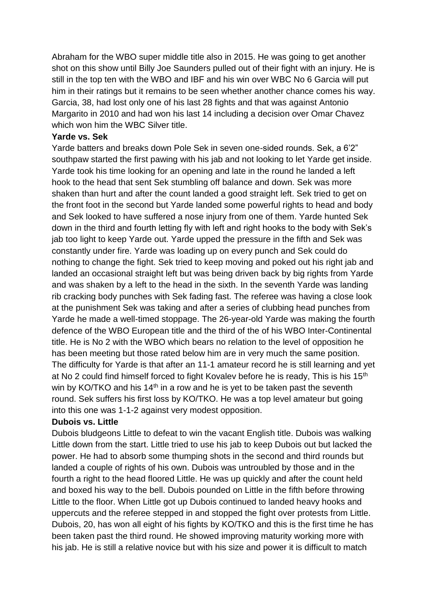Abraham for the WBO super middle title also in 2015. He was going to get another shot on this show until Billy Joe Saunders pulled out of their fight with an injury. He is still in the top ten with the WBO and IBF and his win over WBC No 6 Garcia will put him in their ratings but it remains to be seen whether another chance comes his way. Garcia, 38, had lost only one of his last 28 fights and that was against Antonio Margarito in 2010 and had won his last 14 including a decision over Omar Chavez which won him the WBC Silver title.

#### **Yarde vs. Sek**

Yarde batters and breaks down Pole Sek in seven one-sided rounds. Sek, a 6'2" southpaw started the first pawing with his jab and not looking to let Yarde get inside. Yarde took his time looking for an opening and late in the round he landed a left hook to the head that sent Sek stumbling off balance and down. Sek was more shaken than hurt and after the count landed a good straight left. Sek tried to get on the front foot in the second but Yarde landed some powerful rights to head and body and Sek looked to have suffered a nose injury from one of them. Yarde hunted Sek down in the third and fourth letting fly with left and right hooks to the body with Sek's jab too light to keep Yarde out. Yarde upped the pressure in the fifth and Sek was constantly under fire. Yarde was loading up on every punch and Sek could do nothing to change the fight. Sek tried to keep moving and poked out his right jab and landed an occasional straight left but was being driven back by big rights from Yarde and was shaken by a left to the head in the sixth. In the seventh Yarde was landing rib cracking body punches with Sek fading fast. The referee was having a close look at the punishment Sek was taking and after a series of clubbing head punches from Yarde he made a well-timed stoppage. The 26-year-old Yarde was making the fourth defence of the WBO European title and the third of the of his WBO Inter-Continental title. He is No 2 with the WBO which bears no relation to the level of opposition he has been meeting but those rated below him are in very much the same position. The difficulty for Yarde is that after an 11-1 amateur record he is still learning and yet at No 2 could find himself forced to fight Kovalev before he is ready, This is his 15<sup>th</sup> win by KO/TKO and his 14<sup>th</sup> in a row and he is yet to be taken past the seventh round. Sek suffers his first loss by KO/TKO. He was a top level amateur but going into this one was 1-1-2 against very modest opposition.

#### **Dubois vs. Little**

Dubois bludgeons Little to defeat to win the vacant English title. Dubois was walking Little down from the start. Little tried to use his jab to keep Dubois out but lacked the power. He had to absorb some thumping shots in the second and third rounds but landed a couple of rights of his own. Dubois was untroubled by those and in the fourth a right to the head floored Little. He was up quickly and after the count held and boxed his way to the bell. Dubois pounded on Little in the fifth before throwing Little to the floor. When Little got up Dubois continued to landed heavy hooks and uppercuts and the referee stepped in and stopped the fight over protests from Little. Dubois, 20, has won all eight of his fights by KO/TKO and this is the first time he has been taken past the third round. He showed improving maturity working more with his jab. He is still a relative novice but with his size and power it is difficult to match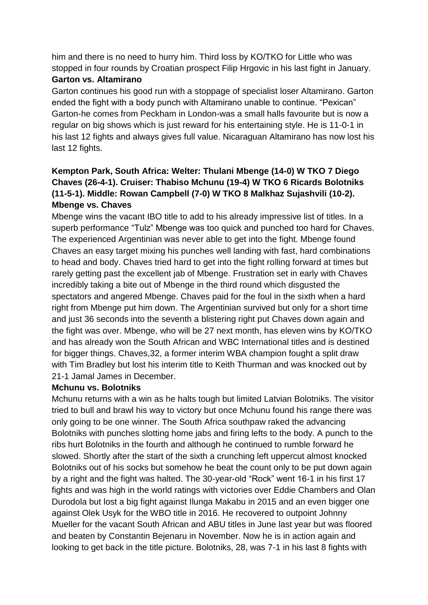him and there is no need to hurry him. Third loss by KO/TKO for Little who was stopped in four rounds by Croatian prospect Filip Hrgovic in his last fight in January.

#### **Garton vs. Altamirano**

Garton continues his good run with a stoppage of specialist loser Altamirano. Garton ended the fight with a body punch with Altamirano unable to continue. "Pexican" Garton-he comes from Peckham in London-was a small halls favourite but is now a regular on big shows which is just reward for his entertaining style. He is 11-0-1 in his last 12 fights and always gives full value. Nicaraguan Altamirano has now lost his last 12 fights.

# **Kempton Park, South Africa: Welter: Thulani Mbenge (14-0) W TKO 7 Diego Chaves (26-4-1). Cruiser: Thabiso Mchunu (19-4) W TKO 6 Ricards Bolotniks (11-5-1). Middle: Rowan Campbell (7-0) W TKO 8 Malkhaz Sujashvili (10-2). Mbenge vs. Chaves**

Mbenge wins the vacant IBO title to add to his already impressive list of titles. In a superb performance "Tulz" Mbenge was too quick and punched too hard for Chaves. The experienced Argentinian was never able to get into the fight. Mbenge found Chaves an easy target mixing his punches well landing with fast, hard combinations to head and body. Chaves tried hard to get into the fight rolling forward at times but rarely getting past the excellent jab of Mbenge. Frustration set in early with Chaves incredibly taking a bite out of Mbenge in the third round which disgusted the spectators and angered Mbenge. Chaves paid for the foul in the sixth when a hard right from Mbenge put him down. The Argentinian survived but only for a short time and just 36 seconds into the seventh a blistering right put Chaves down again and the fight was over. Mbenge, who will be 27 next month, has eleven wins by KO/TKO and has already won the South African and WBC International titles and is destined for bigger things. Chaves,32, a former interim WBA champion fought a split draw with Tim Bradley but lost his interim title to Keith Thurman and was knocked out by 21-1 Jamal James in December.

#### **Mchunu vs. Bolotniks**

Mchunu returns with a win as he halts tough but limited Latvian Bolotniks. The visitor tried to bull and brawl his way to victory but once Mchunu found his range there was only going to be one winner. The South Africa southpaw raked the advancing Bolotniks with punches slotting home jabs and firing lefts to the body. A punch to the ribs hurt Bolotniks in the fourth and although he continued to rumble forward he slowed. Shortly after the start of the sixth a crunching left uppercut almost knocked Bolotniks out of his socks but somehow he beat the count only to be put down again by a right and the fight was halted. The 30-year-old "Rock" went 16-1 in his first 17 fights and was high in the world ratings with victories over Eddie Chambers and Olan Durodola but lost a big fight against Ilunga Makabu in 2015 and an even bigger one against Olek Usyk for the WBO title in 2016. He recovered to outpoint Johnny Mueller for the vacant South African and ABU titles in June last year but was floored and beaten by Constantin Bejenaru in November. Now he is in action again and looking to get back in the title picture. Bolotniks, 28, was 7-1 in his last 8 fights with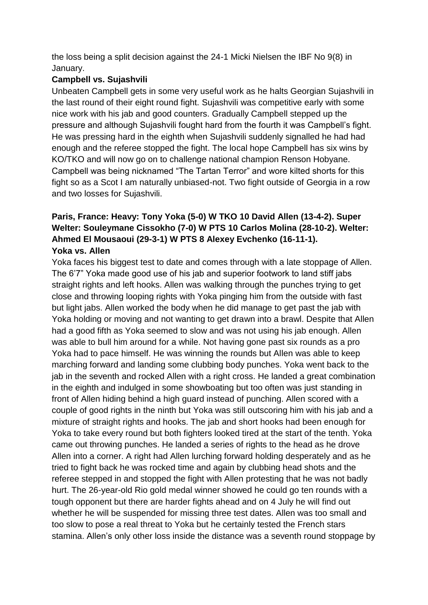the loss being a split decision against the 24-1 Micki Nielsen the IBF No 9(8) in January.

# **Campbell vs. Sujashvili**

Unbeaten Campbell gets in some very useful work as he halts Georgian Sujashvili in the last round of their eight round fight. Sujashvili was competitive early with some nice work with his jab and good counters. Gradually Campbell stepped up the pressure and although Sujashvili fought hard from the fourth it was Campbell's fight. He was pressing hard in the eighth when Sujashvili suddenly signalled he had had enough and the referee stopped the fight. The local hope Campbell has six wins by KO/TKO and will now go on to challenge national champion Renson Hobyane. Campbell was being nicknamed "The Tartan Terror" and wore kilted shorts for this fight so as a Scot I am naturally unbiased-not. Two fight outside of Georgia in a row and two losses for Sujashvili.

# **Paris, France: Heavy: Tony Yoka (5-0) W TKO 10 David Allen (13-4-2). Super Welter: Souleymane Cissokho (7-0) W PTS 10 Carlos Molina (28-10-2). Welter: Ahmed El Mousaoui (29-3-1) W PTS 8 Alexey Evchenko (16-11-1). Yoka vs. Allen**

Yoka faces his biggest test to date and comes through with a late stoppage of Allen. The 6'7" Yoka made good use of his jab and superior footwork to land stiff jabs straight rights and left hooks. Allen was walking through the punches trying to get close and throwing looping rights with Yoka pinging him from the outside with fast but light jabs. Allen worked the body when he did manage to get past the jab with Yoka holding or moving and not wanting to get drawn into a brawl. Despite that Allen had a good fifth as Yoka seemed to slow and was not using his jab enough. Allen was able to bull him around for a while. Not having gone past six rounds as a pro Yoka had to pace himself. He was winning the rounds but Allen was able to keep marching forward and landing some clubbing body punches. Yoka went back to the jab in the seventh and rocked Allen with a right cross. He landed a great combination in the eighth and indulged in some showboating but too often was just standing in front of Allen hiding behind a high guard instead of punching. Allen scored with a couple of good rights in the ninth but Yoka was still outscoring him with his jab and a mixture of straight rights and hooks. The jab and short hooks had been enough for Yoka to take every round but both fighters looked tired at the start of the tenth. Yoka came out throwing punches. He landed a series of rights to the head as he drove Allen into a corner. A right had Allen lurching forward holding desperately and as he tried to fight back he was rocked time and again by clubbing head shots and the referee stepped in and stopped the fight with Allen protesting that he was not badly hurt. The 26-year-old Rio gold medal winner showed he could go ten rounds with a tough opponent but there are harder fights ahead and on 4 July he will find out whether he will be suspended for missing three test dates. Allen was too small and too slow to pose a real threat to Yoka but he certainly tested the French stars stamina. Allen's only other loss inside the distance was a seventh round stoppage by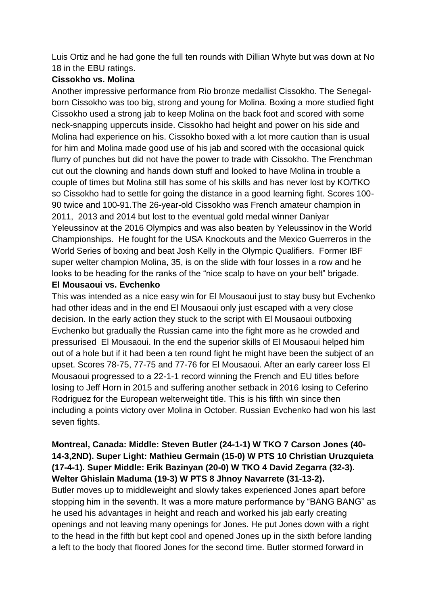Luis Ortiz and he had gone the full ten rounds with Dillian Whyte but was down at No 18 in the EBU ratings.

#### **Cissokho vs. Molina**

Another impressive performance from Rio bronze medallist Cissokho. The Senegalborn Cissokho was too big, strong and young for Molina. Boxing a more studied fight Cissokho used a strong jab to keep Molina on the back foot and scored with some neck-snapping uppercuts inside. Cissokho had height and power on his side and Molina had experience on his. Cissokho boxed with a lot more caution than is usual for him and Molina made good use of his jab and scored with the occasional quick flurry of punches but did not have the power to trade with Cissokho. The Frenchman cut out the clowning and hands down stuff and looked to have Molina in trouble a couple of times but Molina still has some of his skills and has never lost by KO/TKO so Cissokho had to settle for going the distance in a good learning fight. Scores 100- 90 twice and 100-91.The 26-year-old Cissokho was French amateur champion in 2011, 2013 and 2014 but lost to the eventual gold medal winner Daniyar Yeleussinov at the 2016 Olympics and was also beaten by Yeleussinov in the World Championships. He fought for the USA Knockouts and the Mexico Guerreros in the World Series of boxing and beat Josh Kelly in the Olympic Qualifiers. Former IBF super welter champion Molina, 35, is on the slide with four losses in a row and he looks to be heading for the ranks of the "nice scalp to have on your belt" brigade.

#### **El Mousaoui vs. Evchenko**

This was intended as a nice easy win for El Mousaoui just to stay busy but Evchenko had other ideas and in the end El Mousaoui only just escaped with a very close decision. In the early action they stuck to the script with El Mousaoui outboxing Evchenko but gradually the Russian came into the fight more as he crowded and pressurised El Mousaoui. In the end the superior skills of El Mousaoui helped him out of a hole but if it had been a ten round fight he might have been the subject of an upset. Scores 78-75, 77-75 and 77-76 for El Mousaoui. After an early career loss El Mousaoui progressed to a 22-1-1 record winning the French and EU titles before losing to Jeff Horn in 2015 and suffering another setback in 2016 losing to Ceferino Rodriguez for the European welterweight title. This is his fifth win since then including a points victory over Molina in October. Russian Evchenko had won his last seven fights.

# **Montreal, Canada: Middle: Steven Butler (24-1-1) W TKO 7 Carson Jones (40- 14-3,2ND). Super Light: Mathieu Germain (15-0) W PTS 10 Christian Uruzquieta (17-4-1). Super Middle: Erik Bazinyan (20-0) W TKO 4 David Zegarra (32-3). Welter Ghislain Maduma (19-3) W PTS 8 Jhnoy Navarrete (31-13-2).**

Butler moves up to middleweight and slowly takes experienced Jones apart before stopping him in the seventh. It was a more mature performance by "BANG BANG" as he used his advantages in height and reach and worked his jab early creating openings and not leaving many openings for Jones. He put Jones down with a right to the head in the fifth but kept cool and opened Jones up in the sixth before landing a left to the body that floored Jones for the second time. Butler stormed forward in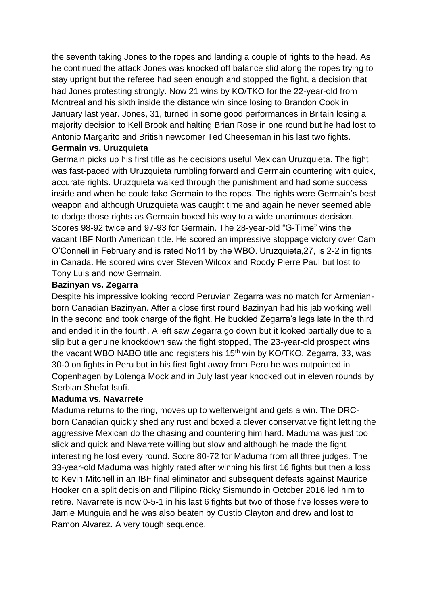the seventh taking Jones to the ropes and landing a couple of rights to the head. As he continued the attack Jones was knocked off balance slid along the ropes trying to stay upright but the referee had seen enough and stopped the fight, a decision that had Jones protesting strongly. Now 21 wins by KO/TKO for the 22-year-old from Montreal and his sixth inside the distance win since losing to Brandon Cook in January last year. Jones, 31, turned in some good performances in Britain losing a majority decision to Kell Brook and halting Brian Rose in one round but he had lost to Antonio Margarito and British newcomer Ted Cheeseman in his last two fights.

#### **Germain vs. Uruzquieta**

Germain picks up his first title as he decisions useful Mexican Uruzquieta. The fight was fast-paced with Uruzquieta rumbling forward and Germain countering with quick, accurate rights. Uruzquieta walked through the punishment and had some success inside and when he could take Germain to the ropes. The rights were Germain's best weapon and although Uruzquieta was caught time and again he never seemed able to dodge those rights as Germain boxed his way to a wide unanimous decision. Scores 98-92 twice and 97-93 for Germain. The 28-year-old "G-Time" wins the vacant IBF North American title. He scored an impressive stoppage victory over Cam O'Connell in February and is rated No11 by the WBO. Uruzquieta,27, is 2-2 in fights in Canada. He scored wins over Steven Wilcox and Roody Pierre Paul but lost to Tony Luis and now Germain.

#### **Bazinyan vs. Zegarra**

Despite his impressive looking record Peruvian Zegarra was no match for Armenianborn Canadian Bazinyan. After a close first round Bazinyan had his jab working well in the second and took charge of the fight. He buckled Zegarra's legs late in the third and ended it in the fourth. A left saw Zegarra go down but it looked partially due to a slip but a genuine knockdown saw the fight stopped, The 23-year-old prospect wins the vacant WBO NABO title and registers his  $15<sup>th</sup>$  win by KO/TKO. Zegarra, 33, was 30-0 on fights in Peru but in his first fight away from Peru he was outpointed in Copenhagen by Lolenga Mock and in July last year knocked out in eleven rounds by Serbian Shefat Isufi.

#### **Maduma vs. Navarrete**

Maduma returns to the ring, moves up to welterweight and gets a win. The DRCborn Canadian quickly shed any rust and boxed a clever conservative fight letting the aggressive Mexican do the chasing and countering him hard. Maduma was just too slick and quick and Navarrete willing but slow and although he made the fight interesting he lost every round. Score 80-72 for Maduma from all three judges. The 33-year-old Maduma was highly rated after winning his first 16 fights but then a loss to Kevin Mitchell in an IBF final eliminator and subsequent defeats against Maurice Hooker on a split decision and Filipino Ricky Sismundo in October 2016 led him to retire. Navarrete is now 0-5-1 in his last 6 fights but two of those five losses were to Jamie Munguia and he was also beaten by Custio Clayton and drew and lost to Ramon Alvarez. A very tough sequence.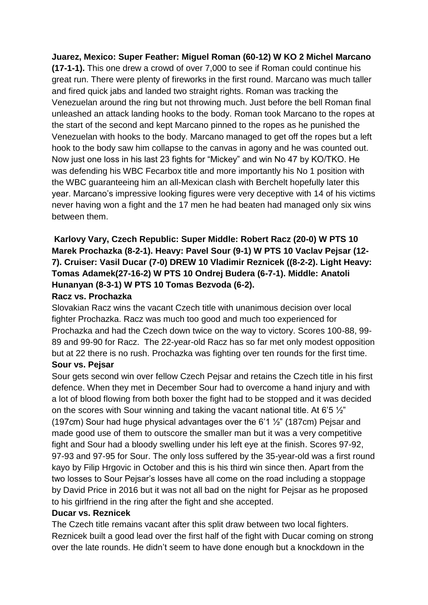**Juarez, Mexico: Super Feather: Miguel Roman (60-12) W KO 2 Michel Marcano (17-1-1).** This one drew a crowd of over 7,000 to see if Roman could continue his great run. There were plenty of fireworks in the first round. Marcano was much taller and fired quick jabs and landed two straight rights. Roman was tracking the Venezuelan around the ring but not throwing much. Just before the bell Roman final unleashed an attack landing hooks to the body. Roman took Marcano to the ropes at the start of the second and kept Marcano pinned to the ropes as he punished the Venezuelan with hooks to the body. Marcano managed to get off the ropes but a left hook to the body saw him collapse to the canvas in agony and he was counted out. Now just one loss in his last 23 fights for "Mickey" and win No 47 by KO/TKO. He was defending his WBC Fecarbox title and more importantly his No 1 position with the WBC guaranteeing him an all-Mexican clash with Berchelt hopefully later this year. Marcano's impressive looking figures were very deceptive with 14 of his victims never having won a fight and the 17 men he had beaten had managed only six wins between them.

# **Karlovy Vary, Czech Republic: Super Middle: Robert Racz (20-0) W PTS 10 Marek Prochazka (8-2-1). Heavy: Pavel Sour (9-1) W PTS 10 Vaclav Pejsar (12- 7). Cruiser: Vasil Ducar (7-0) DREW 10 Vladimir Reznicek ((8-2-2). Light Heavy: Tomas Adamek(27-16-2) W PTS 10 Ondrej Budera (6-7-1). Middle: Anatoli Hunanyan (8-3-1) W PTS 10 Tomas Bezvoda (6-2).**

#### **Racz vs. Prochazka**

Slovakian Racz wins the vacant Czech title with unanimous decision over local fighter Prochazka. Racz was much too good and much too experienced for Prochazka and had the Czech down twice on the way to victory. Scores 100-88, 99- 89 and 99-90 for Racz. The 22-year-old Racz has so far met only modest opposition but at 22 there is no rush. Prochazka was fighting over ten rounds for the first time.

#### **Sour vs. Pejsar**

Sour gets second win over fellow Czech Pejsar and retains the Czech title in his first defence. When they met in December Sour had to overcome a hand injury and with a lot of blood flowing from both boxer the fight had to be stopped and it was decided on the scores with Sour winning and taking the vacant national title. At 6'5 ½" (197cm) Sour had huge physical advantages over the 6'1  $\frac{1}{2}$ " (187cm) Pejsar and made good use of them to outscore the smaller man but it was a very competitive fight and Sour had a bloody swelling under his left eye at the finish. Scores 97-92, 97-93 and 97-95 for Sour. The only loss suffered by the 35-year-old was a first round kayo by Filip Hrgovic in October and this is his third win since then. Apart from the two losses to Sour Pejsar's losses have all come on the road including a stoppage by David Price in 2016 but it was not all bad on the night for Pejsar as he proposed to his girlfriend in the ring after the fight and she accepted.

#### **Ducar vs. Reznicek**

The Czech title remains vacant after this split draw between two local fighters. Reznicek built a good lead over the first half of the fight with Ducar coming on strong over the late rounds. He didn't seem to have done enough but a knockdown in the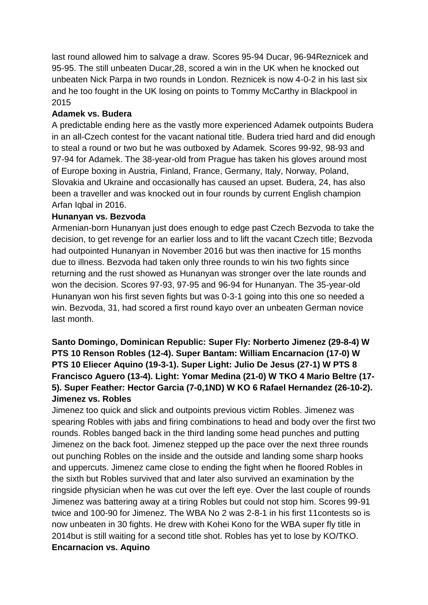last round allowed him to salvage a draw. Scores 95-94 Ducar, 96-94Reznicek and 95-95. The still unbeaten Ducar,28, scored a win in the UK when he knocked out unbeaten Nick Parpa in two rounds in London. Reznicek is now 4-0-2 in his last six and he too fought in the UK losing on points to Tommy McCarthy in Blackpool in 2015

#### **Adamek vs. Budera**

A predictable ending here as the vastly more experienced Adamek outpoints Budera in an all-Czech contest for the vacant national title. Budera tried hard and did enough to steal a round or two but he was outboxed by Adamek. Scores 99-92, 98-93 and 97-94 for Adamek. The 38-year-old from Prague has taken his gloves around most of Europe boxing in Austria, Finland, France, Germany, Italy, Norway, Poland, Slovakia and Ukraine and occasionally has caused an upset. Budera, 24, has also been a traveller and was knocked out in four rounds by current English champion Arfan Iqbal in 2016.

#### **Hunanyan vs. Bezvoda**

Armenian-born Hunanyan just does enough to edge past Czech Bezvoda to take the decision, to get revenge for an earlier loss and to lift the vacant Czech title; Bezvoda had outpointed Hunanyan in November 2016 but was then inactive for 15 months due to illness. Bezvoda had taken only three rounds to win his two fights since returning and the rust showed as Hunanyan was stronger over the late rounds and won the decision. Scores 97-93, 97-95 and 96-94 for Hunanyan. The 35-year-old Hunanyan won his first seven fights but was 0-3-1 going into this one so needed a win. Bezvoda, 31, had scored a first round kayo over an unbeaten German novice last month.

# **Santo Domingo, Dominican Republic: Super Fly: Norberto Jimenez (29-8-4) W PTS 10 Renson Robles (12-4). Super Bantam: William Encarnacion (17-0) W PTS 10 Eliecer Aquino (19-3-1). Super Light: Julio De Jesus (27-1) W PTS 8 Francisco Aguero (13-4). Light: Yomar Medina (21-0) W TKO 4 Mario Beltre (17- 5). Super Feather: Hector Garcia (7-0,1ND) W KO 6 Rafael Hernandez (26-10-2). Jimenez vs. Robles**

Jimenez too quick and slick and outpoints previous victim Robles. Jimenez was spearing Robles with jabs and firing combinations to head and body over the first two rounds. Robles banged back in the third landing some head punches and putting Jimenez on the back foot. Jimenez stepped up the pace over the next three rounds out punching Robles on the inside and the outside and landing some sharp hooks and uppercuts. Jimenez came close to ending the fight when he floored Robles in the sixth but Robles survived that and later also survived an examination by the ringside physician when he was cut over the left eye. Over the last couple of rounds Jimenez was battering away at a tiring Robles but could not stop him. Scores 99-91 twice and 100-90 for Jimenez. The WBA No 2 was 2-8-1 in his first 11contests so is now unbeaten in 30 fights. He drew with Kohei Kono for the WBA super fly title in 2014but is still waiting for a second title shot. Robles has yet to lose by KO/TKO. **Encarnacion vs. Aquino**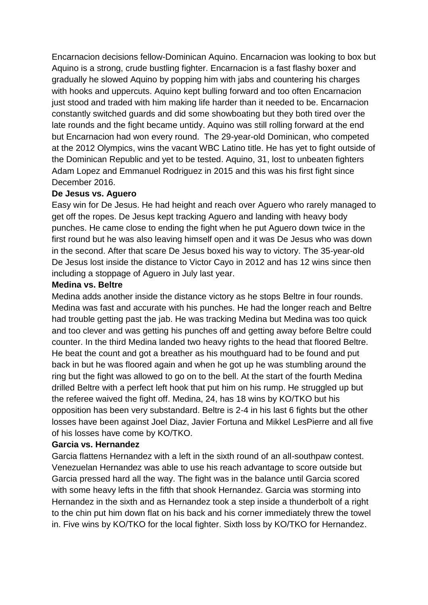Encarnacion decisions fellow-Dominican Aquino. Encarnacion was looking to box but Aquino is a strong, crude bustling fighter. Encarnacion is a fast flashy boxer and gradually he slowed Aquino by popping him with jabs and countering his charges with hooks and uppercuts. Aquino kept bulling forward and too often Encarnacion just stood and traded with him making life harder than it needed to be. Encarnacion constantly switched guards and did some showboating but they both tired over the late rounds and the fight became untidy. Aquino was still rolling forward at the end but Encarnacion had won every round. The 29-year-old Dominican, who competed at the 2012 Olympics, wins the vacant WBC Latino title. He has yet to fight outside of the Dominican Republic and yet to be tested. Aquino, 31, lost to unbeaten fighters Adam Lopez and Emmanuel Rodriguez in 2015 and this was his first fight since December 2016.

#### **De Jesus vs. Aguero**

Easy win for De Jesus. He had height and reach over Aguero who rarely managed to get off the ropes. De Jesus kept tracking Aguero and landing with heavy body punches. He came close to ending the fight when he put Aguero down twice in the first round but he was also leaving himself open and it was De Jesus who was down in the second. After that scare De Jesus boxed his way to victory. The 35-year-old De Jesus lost inside the distance to Victor Cayo in 2012 and has 12 wins since then including a stoppage of Aguero in July last year.

#### **Medina vs. Beltre**

Medina adds another inside the distance victory as he stops Beltre in four rounds. Medina was fast and accurate with his punches. He had the longer reach and Beltre had trouble getting past the jab. He was tracking Medina but Medina was too quick and too clever and was getting his punches off and getting away before Beltre could counter. In the third Medina landed two heavy rights to the head that floored Beltre. He beat the count and got a breather as his mouthguard had to be found and put back in but he was floored again and when he got up he was stumbling around the ring but the fight was allowed to go on to the bell. At the start of the fourth Medina drilled Beltre with a perfect left hook that put him on his rump. He struggled up but the referee waived the fight off. Medina, 24, has 18 wins by KO/TKO but his opposition has been very substandard. Beltre is 2-4 in his last 6 fights but the other losses have been against Joel Diaz, Javier Fortuna and Mikkel LesPierre and all five of his losses have come by KO/TKO.

#### **Garcia vs. Hernandez**

Garcia flattens Hernandez with a left in the sixth round of an all-southpaw contest. Venezuelan Hernandez was able to use his reach advantage to score outside but Garcia pressed hard all the way. The fight was in the balance until Garcia scored with some heavy lefts in the fifth that shook Hernandez. Garcia was storming into Hernandez in the sixth and as Hernandez took a step inside a thunderbolt of a right to the chin put him down flat on his back and his corner immediately threw the towel in. Five wins by KO/TKO for the local fighter. Sixth loss by KO/TKO for Hernandez.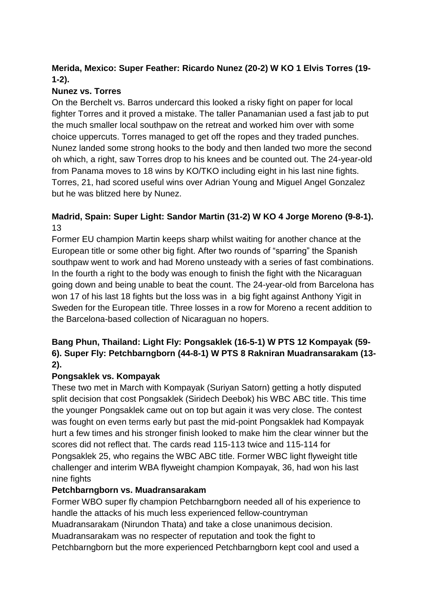# **Merida, Mexico: Super Feather: Ricardo Nunez (20-2) W KO 1 Elvis Torres (19- 1-2).**

# **Nunez vs. Torres**

On the Berchelt vs. Barros undercard this looked a risky fight on paper for local fighter Torres and it proved a mistake. The taller Panamanian used a fast jab to put the much smaller local southpaw on the retreat and worked him over with some choice uppercuts. Torres managed to get off the ropes and they traded punches. Nunez landed some strong hooks to the body and then landed two more the second oh which, a right, saw Torres drop to his knees and be counted out. The 24-year-old from Panama moves to 18 wins by KO/TKO including eight in his last nine fights. Torres, 21, had scored useful wins over Adrian Young and Miguel Angel Gonzalez but he was blitzed here by Nunez.

# **Madrid, Spain: Super Light: Sandor Martin (31-2) W KO 4 Jorge Moreno (9-8-1).**  13

Former EU champion Martin keeps sharp whilst waiting for another chance at the European title or some other big fight. After two rounds of "sparring" the Spanish southpaw went to work and had Moreno unsteady with a series of fast combinations. In the fourth a right to the body was enough to finish the fight with the Nicaraguan going down and being unable to beat the count. The 24-year-old from Barcelona has won 17 of his last 18 fights but the loss was in a big fight against Anthony Yigit in Sweden for the European title. Three losses in a row for Moreno a recent addition to the Barcelona-based collection of Nicaraguan no hopers.

# **Bang Phun, Thailand: Light Fly: Pongsaklek (16-5-1) W PTS 12 Kompayak (59- 6). Super Fly: Petchbarngborn (44-8-1) W PTS 8 Rakniran Muadransarakam (13- 2).**

# **Pongsaklek vs. Kompayak**

These two met in March with Kompayak (Suriyan Satorn) getting a hotly disputed split decision that cost Pongsaklek (Siridech Deebok) his WBC ABC title. This time the younger Pongsaklek came out on top but again it was very close. The contest was fought on even terms early but past the mid-point Pongsaklek had Kompayak hurt a few times and his stronger finish looked to make him the clear winner but the scores did not reflect that. The cards read 115-113 twice and 115-114 for Pongsaklek 25, who regains the WBC ABC title. Former WBC light flyweight title challenger and interim WBA flyweight champion Kompayak, 36, had won his last nine fights

# **Petchbarngborn vs. Muadransarakam**

Former WBO super fly champion Petchbarngborn needed all of his experience to handle the attacks of his much less experienced fellow-countryman Muadransarakam (Nirundon Thata) and take a close unanimous decision. Muadransarakam was no respecter of reputation and took the fight to Petchbarngborn but the more experienced Petchbarngborn kept cool and used a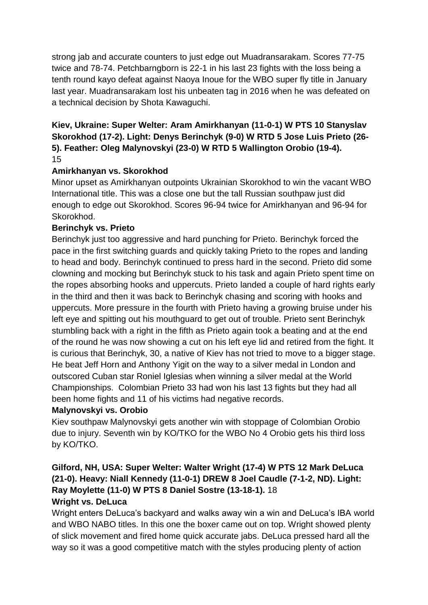strong jab and accurate counters to just edge out Muadransarakam. Scores 77-75 twice and 78-74. Petchbarngborn is 22-1 in his last 23 fights with the loss being a tenth round kayo defeat against Naoya Inoue for the WBO super fly title in January last year. Muadransarakam lost his unbeaten tag in 2016 when he was defeated on a technical decision by Shota Kawaguchi.

### **Kiev, Ukraine: Super Welter: Aram Amirkhanyan (11-0-1) W PTS 10 Stanyslav Skorokhod (17-2). Light: Denys Berinchyk (9-0) W RTD 5 Jose Luis Prieto (26- 5). Feather: Oleg Malynovskyi (23-0) W RTD 5 Wallington Orobio (19-4).** 15

# **Amirkhanyan vs. Skorokhod**

Minor upset as Amirkhanyan outpoints Ukrainian Skorokhod to win the vacant WBO International title. This was a close one but the tall Russian southpaw just did enough to edge out Skorokhod. Scores 96-94 twice for Amirkhanyan and 96-94 for Skorokhod.

#### **Berinchyk vs. Prieto**

Berinchyk just too aggressive and hard punching for Prieto. Berinchyk forced the pace in the first switching guards and quickly taking Prieto to the ropes and landing to head and body. Berinchyk continued to press hard in the second. Prieto did some clowning and mocking but Berinchyk stuck to his task and again Prieto spent time on the ropes absorbing hooks and uppercuts. Prieto landed a couple of hard rights early in the third and then it was back to Berinchyk chasing and scoring with hooks and uppercuts. More pressure in the fourth with Prieto having a growing bruise under his left eye and spitting out his mouthguard to get out of trouble. Prieto sent Berinchyk stumbling back with a right in the fifth as Prieto again took a beating and at the end of the round he was now showing a cut on his left eye lid and retired from the fight. It is curious that Berinchyk, 30, a native of Kiev has not tried to move to a bigger stage. He beat Jeff Horn and Anthony Yigit on the way to a silver medal in London and outscored Cuban star Roniel Iglesias when winning a silver medal at the World Championships. Colombian Prieto 33 had won his last 13 fights but they had all been home fights and 11 of his victims had negative records.

#### **Malynovskyi vs. Orobio**

Kiev southpaw Malynovskyi gets another win with stoppage of Colombian Orobio due to injury. Seventh win by KO/TKO for the WBO No 4 Orobio gets his third loss by KO/TKO.

### **Gilford, NH, USA: Super Welter: Walter Wright (17-4) W PTS 12 Mark DeLuca (21-0). Heavy: Niall Kennedy (11-0-1) DREW 8 Joel Caudle (7-1-2, ND). Light: Ray Moylette (11-0) W PTS 8 Daniel Sostre (13-18-1).** 18 **Wright vs. DeLuca**

# Wright enters DeLuca's backyard and walks away win a win and DeLuca's IBA world and WBO NABO titles. In this one the boxer came out on top. Wright showed plenty of slick movement and fired home quick accurate jabs. DeLuca pressed hard all the way so it was a good competitive match with the styles producing plenty of action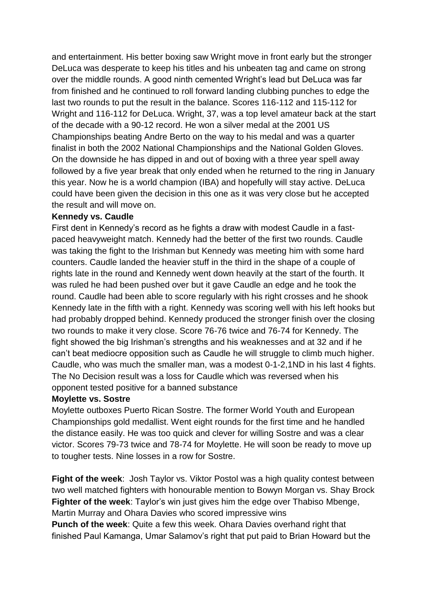and entertainment. His better boxing saw Wright move in front early but the stronger DeLuca was desperate to keep his titles and his unbeaten tag and came on strong over the middle rounds. A good ninth cemented Wright's lead but DeLuca was far from finished and he continued to roll forward landing clubbing punches to edge the last two rounds to put the result in the balance. Scores 116-112 and 115-112 for Wright and 116-112 for DeLuca. Wright, 37, was a top level amateur back at the start of the decade with a 90-12 record. He won a silver medal at the 2001 US Championships beating Andre Berto on the way to his medal and was a quarter finalist in both the 2002 National Championships and the National Golden Gloves. On the downside he has dipped in and out of boxing with a three year spell away followed by a five year break that only ended when he returned to the ring in January this year. Now he is a world champion (IBA) and hopefully will stay active. DeLuca could have been given the decision in this one as it was very close but he accepted the result and will move on.

#### **Kennedy vs. Caudle**

First dent in Kennedy's record as he fights a draw with modest Caudle in a fastpaced heavyweight match. Kennedy had the better of the first two rounds. Caudle was taking the fight to the Irishman but Kennedy was meeting him with some hard counters. Caudle landed the heavier stuff in the third in the shape of a couple of rights late in the round and Kennedy went down heavily at the start of the fourth. It was ruled he had been pushed over but it gave Caudle an edge and he took the round. Caudle had been able to score regularly with his right crosses and he shook Kennedy late in the fifth with a right. Kennedy was scoring well with his left hooks but had probably dropped behind. Kennedy produced the stronger finish over the closing two rounds to make it very close. Score 76-76 twice and 76-74 for Kennedy. The fight showed the big Irishman's strengths and his weaknesses and at 32 and if he can't beat mediocre opposition such as Caudle he will struggle to climb much higher. Caudle, who was much the smaller man, was a modest 0-1-2,1ND in his last 4 fights. The No Decision result was a loss for Caudle which was reversed when his opponent tested positive for a banned substance

#### **Moylette vs. Sostre**

Moylette outboxes Puerto Rican Sostre. The former World Youth and European Championships gold medallist. Went eight rounds for the first time and he handled the distance easily. He was too quick and clever for willing Sostre and was a clear victor. Scores 79-73 twice and 78-74 for Moylette. He will soon be ready to move up to tougher tests. Nine losses in a row for Sostre.

**Fight of the week**: Josh Taylor vs. Viktor Postol was a high quality contest between two well matched fighters with honourable mention to Bowyn Morgan vs. Shay Brock **Fighter of the week**: Taylor's win just gives him the edge over Thabiso Mbenge, Martin Murray and Ohara Davies who scored impressive wins

**Punch of the week**: Quite a few this week. Ohara Davies overhand right that finished Paul Kamanga, Umar Salamov's right that put paid to Brian Howard but the